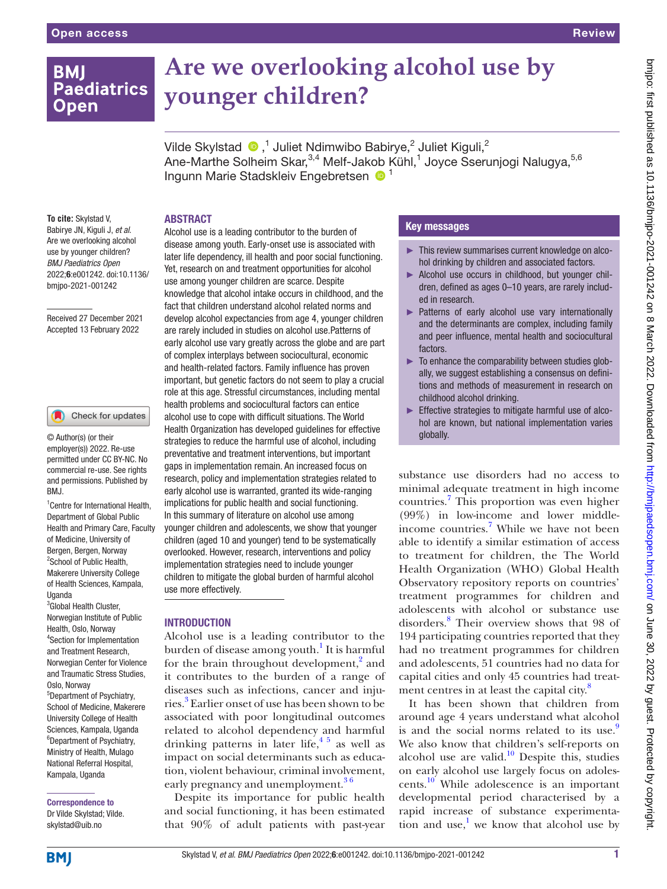## **BMI Paediatrics Open**

# **Are we overlooking alcohol use by younger children?**

VildeSkylstad  $\bigcirc$ ,<sup>1</sup> Juliet Ndimwibo Babirye,<sup>2</sup> Juliet Kiguli,<sup>2</sup> Ane-Marthe Solheim Skar,<sup>3,4</sup> Melf-Jakob Kühl,<sup>1</sup> Joyce Sserunjogi Nalugya,<sup>5,6</sup> Ingunn Marie Stadskleiv Engebretsen <sup>1</sup>

#### **To cite:** Skylstad V, Babirye JN, Kiguli J, *et al*. Are we overlooking alcohol use by younger children? *BMJ Paediatrics Open* 2022;6:e001242. doi:10.1136/ bmjpo-2021-001242

Received 27 December 2021 Accepted 13 February 2022

#### Check for updates

© Author(s) (or their employer(s)) 2022. Re-use permitted under CC BY-NC. No commercial re-use. See rights and permissions. Published by BMJ.

1 Centre for International Health, Department of Global Public Health and Primary Care, Faculty of Medicine, University of Bergen, Bergen, Norway <sup>2</sup>School of Public Health, Makerere University College of Health Sciences, Kampala, **Uganda** 

<sup>3</sup>Global Health Cluster, Norwegian Institute of Public Health, Oslo, Norway 4 Section for Implementation and Treatment Research, Norwegian Center for Violence and Traumatic Stress Studies, Oslo, Norway 5 Department of Psychiatry, School of Medicine, Makerere University College of Health Sciences, Kampala, Uganda 6 Department of Psychiatry, Ministry of Health, Mulago National Referral Hospital, Kampala, Uganda

Correspondence to Dr Vilde Skylstad; Vilde. skylstad@uib.no

#### ABSTRACT

Alcohol use is a leading contributor to the burden of disease among youth. Early-onset use is associated with later life dependency, ill health and poor social functioning. Yet, research on and treatment opportunities for alcohol use among younger children are scarce. Despite knowledge that alcohol intake occurs in childhood, and the fact that children understand alcohol related norms and develop alcohol expectancies from age 4, younger children are rarely included in studies on alcohol use.Patterns of early alcohol use vary greatly across the globe and are part of complex interplays between sociocultural, economic and health-related factors. Family influence has proven important, but genetic factors do not seem to play a crucial role at this age. Stressful circumstances, including mental health problems and sociocultural factors can entice alcohol use to cope with difficult situations. The World Health Organization has developed guidelines for effective strategies to reduce the harmful use of alcohol, including preventative and treatment interventions, but important gaps in implementation remain. An increased focus on research, policy and implementation strategies related to early alcohol use is warranted, granted its wide-ranging implications for public health and social functioning. In this summary of literature on alcohol use among younger children and adolescents, we show that younger children (aged 10 and younger) tend to be systematically overlooked. However, research, interventions and policy implementation strategies need to include younger children to mitigate the global burden of harmful alcohol use more effectively.

#### INTRODUCTION

Alcohol use is a leading contributor to the burden of disease among youth.<sup>1</sup> It is harmful for the brain throughout development,<sup>2</sup> and it contributes to the burden of a range of diseases such as infections, cancer and inju-ries.<sup>[3](#page-6-2)</sup> Earlier onset of use has been shown to be associated with poor longitudinal outcomes related to alcohol dependency and harmful drinking patterns in later life,  $4\frac{1}{2}$  as well as impact on social determinants such as education, violent behaviour, criminal involvement, early pregnancy and unemployment.<sup>36</sup>

Despite its importance for public health and social functioning, it has been estimated that 90% of adult patients with past-year

### Key messages

- ► This review summarises current knowledge on alcohol drinking by children and associated factors.
- ► Alcohol use occurs in childhood, but younger children, defined as ages 0–10 years, are rarely included in research.
- ► Patterns of early alcohol use vary internationally and the determinants are complex, including family and peer influence, mental health and sociocultural factors.
- $\blacktriangleright$  To enhance the comparability between studies globally, we suggest establishing a consensus on definitions and methods of measurement in research on childhood alcohol drinking.
- ► Effective strategies to mitigate harmful use of alcohol are known, but national implementation varies globally.

substance use disorders had no access to minimal adequate treatment in high income countries.[7](#page-6-4) This proportion was even higher (99%) in low-income and lower middleincome countries.<sup>7</sup> While we have not been able to identify a similar estimation of access to treatment for children, the The World Health Organization (WHO) Global Health Observatory repository reports on countries' treatment programmes for children and adolescents with alcohol or substance use disorders[.8](#page-6-5) Their overview shows that 98 of 194 participating countries reported that they had no treatment programmes for children and adolescents, 51 countries had no data for capital cities and only 45 countries had treatment centres in at least the capital city. $\delta$ 

It has been shown that children from around age 4 years understand what alcohol is and the social norms related to its use. $9$ We also know that children's self-reports on alcohol use are valid.<sup>10</sup> Despite this, studies on early alcohol use largely focus on adolescents[.10](#page-6-7) While adolescence is an important developmental period characterised by a rapid increase of substance experimentation and use,<sup>1</sup> we know that alcohol use by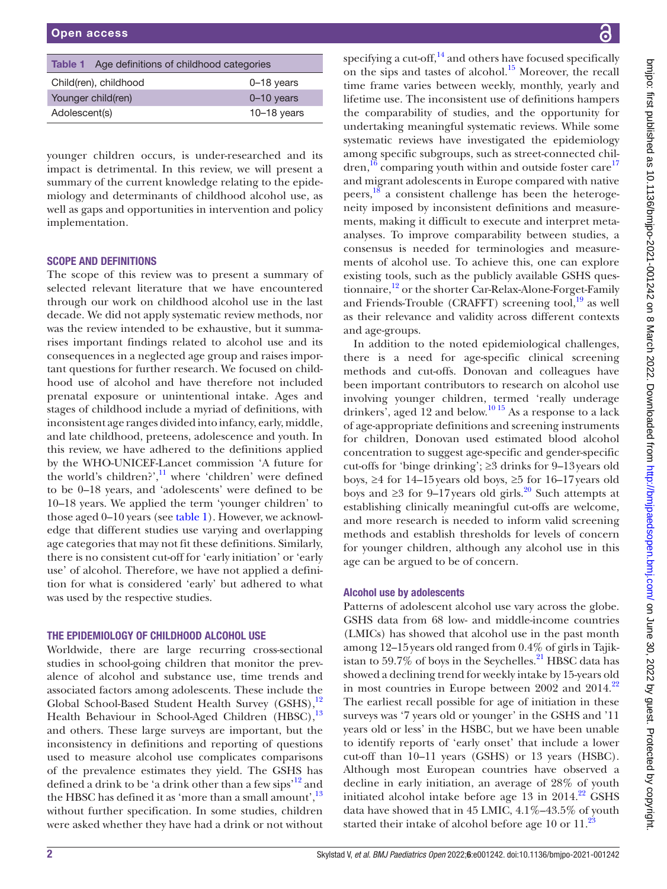<span id="page-1-0"></span>

| <b>Table 1</b> Age definitions of childhood categories |                |
|--------------------------------------------------------|----------------|
| Child(ren), childhood                                  | $0 - 18$ years |
| Younger child(ren)                                     | $0 - 10$ years |
| Adolescent(s)                                          | $10-18$ years  |

younger children occurs, is under-researched and its impact is detrimental. In this review, we will present a summary of the current knowledge relating to the epidemiology and determinants of childhood alcohol use, as well as gaps and opportunities in intervention and policy implementation.

#### SCOPE AND DEFINITIONS

The scope of this review was to present a summary of selected relevant literature that we have encountered through our work on childhood alcohol use in the last decade. We did not apply systematic review methods, nor was the review intended to be exhaustive, but it summarises important findings related to alcohol use and its consequences in a neglected age group and raises important questions for further research. We focused on childhood use of alcohol and have therefore not included prenatal exposure or unintentional intake. Ages and stages of childhood include a myriad of definitions, with inconsistent age ranges divided into infancy, early, middle, and late childhood, preteens, adolescence and youth. In this review, we have adhered to the definitions applied by the WHO-UNICEF-Lancet commission 'A future for the world's children?', $\frac{11}{11}$  where 'children' were defined to be 0–18 years, and 'adolescents' were defined to be 10–18 years. We applied the term 'younger children' to those aged 0–10 years (see [table](#page-1-0) 1). However, we acknowledge that different studies use varying and overlapping age categories that may not fit these definitions. Similarly, there is no consistent cut-off for 'early initiation' or 'early use' of alcohol. Therefore, we have not applied a definition for what is considered 'early' but adhered to what was used by the respective studies.

#### THE EPIDEMIOLOGY OF CHILDHOOD ALCOHOL USE

Worldwide, there are large recurring cross-sectional studies in school-going children that monitor the prevalence of alcohol and substance use, time trends and associated factors among adolescents. These include the Global School-Based Student Health Survey (GSHS),<sup>[12](#page-6-9)</sup> Health Behaviour in School-Aged Children (HBSC),<sup>13</sup> and others. These large surveys are important, but the inconsistency in definitions and reporting of questions used to measure alcohol use complicates comparisons of the prevalence estimates they yield. The GSHS has defined a drink to be 'a drink other than a few sips'<sup>[12](#page-6-9)</sup> and the HBSC has defined it as 'more than a small amount', $^{13}$ without further specification. In some studies, children were asked whether they have had a drink or not without

specifying a cut-off, $^{14}$  $^{14}$  $^{14}$  and others have focused specifically on the sips and tastes of alcohol.<sup>[15](#page-6-12)</sup> Moreover, the recall time frame varies between weekly, monthly, yearly and lifetime use. The inconsistent use of definitions hampers the comparability of studies, and the opportunity for undertaking meaningful systematic reviews. While some systematic reviews have investigated the epidemiology among specific subgroups, such as street-connected chil- $\frac{16}{16}$  $\frac{16}{16}$  $\frac{16}{16}$  comparing youth within and outside foster care<sup>17</sup> and migrant adolescents in Europe compared with native peers,<sup>18</sup> a consistent challenge has been the heterogeneity imposed by inconsistent definitions and measurements, making it difficult to execute and interpret metaanalyses. To improve comparability between studies, a consensus is needed for terminologies and measurements of alcohol use. To achieve this, one can explore existing tools, such as the publicly available GSHS questionnaire,<sup>12</sup> or the shorter Car-Relax-Alone-Forget-Family and Friends-Trouble (CRAFFT) screening tool, $^{19}$  as well as their relevance and validity across different contexts and age-groups.

In addition to the noted epidemiological challenges, there is a need for age-specific clinical screening methods and cut-offs. Donovan and colleagues have been important contributors to research on alcohol use involving younger children, termed 'really underage drinkers', aged 12 and below.<sup>[10 15](#page-6-7)</sup> As a response to a lack of age-appropriate definitions and screening instruments for children, Donovan used estimated blood alcohol concentration to suggest age-specific and gender-specific cut-offs for 'binge drinking'; ≥3 drinks for 9–13years old boys, ≥4 for 14–15years old boys, ≥5 for 16–17years old boys and ≥3 for 9–17 years old girls.<sup>20</sup> Such attempts at establishing clinically meaningful cut-offs are welcome, and more research is needed to inform valid screening methods and establish thresholds for levels of concern for younger children, although any alcohol use in this age can be argued to be of concern.

#### Alcohol use by adolescents

Patterns of adolescent alcohol use vary across the globe. GSHS data from 68 low- and middle-income countries (LMICs) has showed that alcohol use in the past month among 12–15years old ranged from 0.4% of girls in Tajikistan to 59.7% of boys in the Seychelles. $^{21}$  HBSC data has showed a declining trend for weekly intake by 15-years old in most countries in Europe between 2002 and 2014.<sup>[22](#page-6-19)</sup> The earliest recall possible for age of initiation in these surveys was '7 years old or younger' in the GSHS and '11 years old or less' in the HSBC, but we have been unable to identify reports of 'early onset' that include a lower cut-off than 10–11 years (GSHS) or 13 years (HSBC). Although most European countries have observed a decline in early initiation, an average of 28% of youth initiated alcohol intake before age  $13$  in  $2014.<sup>22</sup>$  GSHS data have showed that in 45 LMIC, 4.1%–43.5% of youth started their intake of alcohol before age 10 or  $11.^{23}$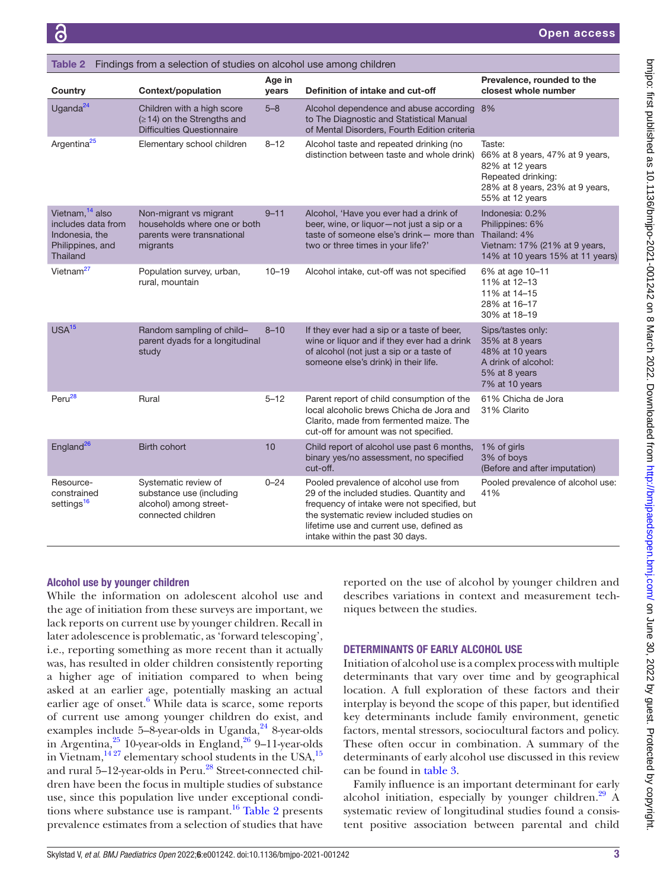<span id="page-2-0"></span>

| Table 2 Findings from a selection of studies on alcohol use among children                                 |                                                                                                      |                 |                                                                                                                                                                                                                                                              |                                                                                                                                          |  |  |
|------------------------------------------------------------------------------------------------------------|------------------------------------------------------------------------------------------------------|-----------------|--------------------------------------------------------------------------------------------------------------------------------------------------------------------------------------------------------------------------------------------------------------|------------------------------------------------------------------------------------------------------------------------------------------|--|--|
| Country                                                                                                    | Context/population                                                                                   | Age in<br>years | Definition of intake and cut-off                                                                                                                                                                                                                             | Prevalence, rounded to the<br>closest whole number                                                                                       |  |  |
| Uganda <sup>24</sup>                                                                                       | Children with a high score<br>$( \geq 14)$ on the Strengths and<br><b>Difficulties Questionnaire</b> | $5 - 8$         | Alcohol dependence and abuse according 8%<br>to The Diagnostic and Statistical Manual<br>of Mental Disorders, Fourth Edition criteria                                                                                                                        |                                                                                                                                          |  |  |
| Argentina <sup>25</sup>                                                                                    | Elementary school children                                                                           | $8 - 12$        | Alcohol taste and repeated drinking (no<br>distinction between taste and whole drink)                                                                                                                                                                        | Taste:<br>66% at 8 years, 47% at 9 years,<br>82% at 12 years<br>Repeated drinking:<br>28% at 8 years, 23% at 9 years,<br>55% at 12 years |  |  |
| Vietnam, <sup>14</sup> also<br>includes data from<br>Indonesia, the<br>Philippines, and<br><b>Thailand</b> | Non-migrant vs migrant<br>households where one or both<br>parents were transnational<br>migrants     | $9 - 11$        | Alcohol, 'Have you ever had a drink of<br>beer, wine, or liquor-not just a sip or a<br>taste of someone else's drink- more than<br>two or three times in your life?'                                                                                         | Indonesia: 0.2%<br>Philippines: 6%<br>Thailand: 4%<br>Vietnam: 17% (21% at 9 years,<br>14% at 10 years 15% at 11 years)                  |  |  |
| Vietnam <sup>27</sup>                                                                                      | Population survey, urban,<br>rural, mountain                                                         | $10 - 19$       | Alcohol intake, cut-off was not specified                                                                                                                                                                                                                    | 6% at age 10-11<br>11% at 12-13<br>11% at 14-15<br>28% at 16-17<br>30% at 18-19                                                          |  |  |
| USA <sup>15</sup>                                                                                          | Random sampling of child-<br>parent dyads for a longitudinal<br>study                                | $8 - 10$        | If they ever had a sip or a taste of beer,<br>wine or liquor and if they ever had a drink<br>of alcohol (not just a sip or a taste of<br>someone else's drink) in their life.                                                                                | Sips/tastes only:<br>35% at 8 years<br>48% at 10 years<br>A drink of alcohol:<br>5% at 8 years<br>7% at 10 years                         |  |  |
| Peru <sup>28</sup>                                                                                         | Rural                                                                                                | $5 - 12$        | Parent report of child consumption of the<br>local alcoholic brews Chicha de Jora and<br>Clarito, made from fermented maize. The<br>cut-off for amount was not specified.                                                                                    | 61% Chicha de Jora<br>31% Clarito                                                                                                        |  |  |
| England <sup>26</sup>                                                                                      | <b>Birth cohort</b>                                                                                  | 10              | Child report of alcohol use past 6 months,<br>binary yes/no assessment, no specified<br>cut-off.                                                                                                                                                             | 1% of girls<br>3% of boys<br>(Before and after imputation)                                                                               |  |  |
| Resource-<br>constrained<br>settings <sup>16</sup>                                                         | Systematic review of<br>substance use (including<br>alcohol) among street-<br>connected children     | $0 - 24$        | Pooled prevalence of alcohol use from<br>29 of the included studies. Quantity and<br>frequency of intake were not specified, but<br>the systematic review included studies on<br>lifetime use and current use, defined as<br>intake within the past 30 days. | Pooled prevalence of alcohol use:<br>41%                                                                                                 |  |  |

#### Alcohol use by younger children

While the information on adolescent alcohol use and the age of initiation from these surveys are important, we lack reports on current use by younger children. Recall in later adolescence is problematic, as 'forward telescoping', i.e., reporting something as more recent than it actually was, has resulted in older children consistently reporting a higher age of initiation compared to when being asked at an earlier age, potentially masking an actual earlier age of onset.<sup>[6](#page-6-21)</sup> While data is scarce, some reports of current use among younger children do exist, and examples include  $5-8$ -year-olds in Uganda, $24$  8-year-olds in Argentina, $25$  10-year-olds in England, $26$  9–11-year-olds in Vietnam, $\frac{14.27}{14.27}$  elementary school students in the USA, $\frac{15}{15}$ and rural 5-12-year-olds in Peru.<sup>28</sup> Street-connected children have been the focus in multiple studies of substance use, since this population live under exceptional condi-tions where substance use is rampant.<sup>16</sup> [Table](#page-2-0) 2 presents prevalence estimates from a selection of studies that have

reported on the use of alcohol by younger children and describes variations in context and measurement techniques between the studies.

#### DETERMINANTS OF EARLY ALCOHOL USE

Initiation of alcohol use is a complex process with multiple determinants that vary over time and by geographical location. A full exploration of these factors and their interplay is beyond the scope of this paper, but identified key determinants include family environment, genetic factors, mental stressors, sociocultural factors and policy. These often occur in combination. A summary of the determinants of early alcohol use discussed in this review can be found in [table](#page-3-0) 3.

Family influence is an important determinant for early alcohol initiation, especially by younger children.<sup>[29](#page-6-26)</sup> A systematic review of longitudinal studies found a consistent positive association between parental and child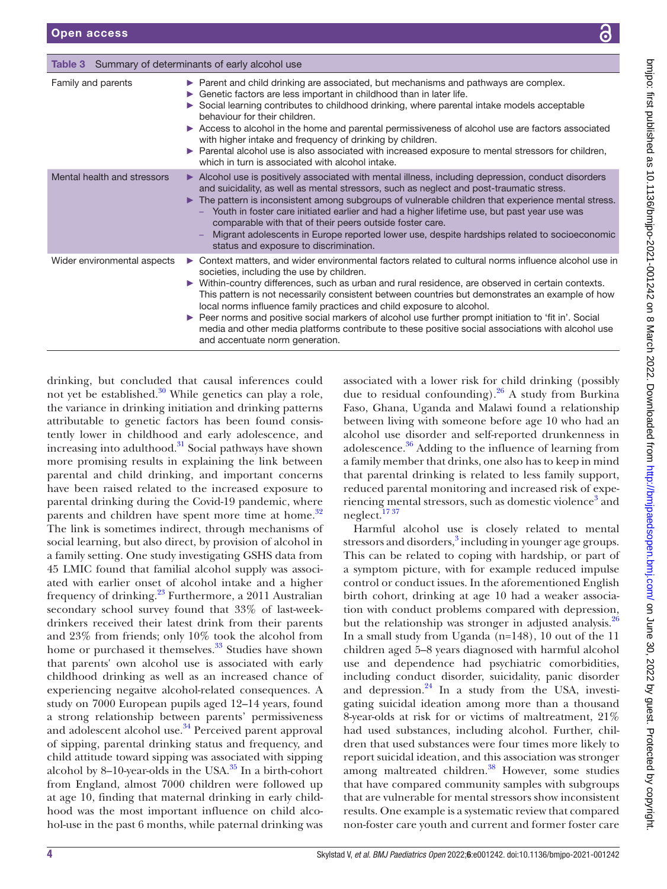<span id="page-3-0"></span>Table 3 Summary of determinants of early alcohol use

| Family and parents          | ► Parent and child drinking are associated, but mechanisms and pathways are complex.<br>► Genetic factors are less important in childhood than in later life.<br>Social learning contributes to childhood drinking, where parental intake models acceptable<br>behaviour for their children.<br>Access to alcohol in the home and parental permissiveness of alcohol use are factors associated<br>with higher intake and frequency of drinking by children.<br>▶ Parental alcohol use is also associated with increased exposure to mental stressors for children,<br>which in turn is associated with alcohol intake.                                                               |
|-----------------------------|---------------------------------------------------------------------------------------------------------------------------------------------------------------------------------------------------------------------------------------------------------------------------------------------------------------------------------------------------------------------------------------------------------------------------------------------------------------------------------------------------------------------------------------------------------------------------------------------------------------------------------------------------------------------------------------|
| Mental health and stressors | Alcohol use is positively associated with mental illness, including depression, conduct disorders<br>and suicidality, as well as mental stressors, such as neglect and post-traumatic stress.<br>The pattern is inconsistent among subgroups of vulnerable children that experience mental stress.<br>Youth in foster care initiated earlier and had a higher lifetime use, but past year use was<br>comparable with that of their peers outside foster care.<br>Migrant adolescents in Europe reported lower use, despite hardships related to socioeconomic<br>status and exposure to discrimination.                                                                               |
| Wider environmental aspects | ▶ Context matters, and wider environmental factors related to cultural norms influence alcohol use in<br>societies, including the use by children.<br>▶ Within-country differences, such as urban and rural residence, are observed in certain contexts.<br>This pattern is not necessarily consistent between countries but demonstrates an example of how<br>local norms influence family practices and child exposure to alcohol.<br>► Peer norms and positive social markers of alcohol use further prompt initiation to 'fit in'. Social<br>media and other media platforms contribute to these positive social associations with alcohol use<br>and accentuate norm generation. |

drinking, but concluded that causal inferences could not yet be established. $30$  While genetics can play a role, the variance in drinking initiation and drinking patterns attributable to genetic factors has been found consistently lower in childhood and early adolescence, and increasing into adulthood. $31$  Social pathways have shown more promising results in explaining the link between parental and child drinking, and important concerns have been raised related to the increased exposure to parental drinking during the Covid-19 pandemic, where parents and children have spent more time at home.<sup>[32](#page-6-30)</sup> The link is sometimes indirect, through mechanisms of social learning, but also direct, by provision of alcohol in a family setting. One study investigating GSHS data from 45 LMIC found that familial alcohol supply was associated with earlier onset of alcohol intake and a higher frequency of drinking.<sup>23</sup> Furthermore, a 2011 Australian secondary school survey found that 33% of last-weekdrinkers received their latest drink from their parents and 23% from friends; only 10% took the alcohol from home or purchased it themselves.<sup>33</sup> Studies have shown that parents' own alcohol use is associated with early childhood drinking as well as an increased chance of experiencing negaitve alcohol-related consequences. A study on 7000 European pupils aged 12–14 years, found a strong relationship between parents' permissiveness and adolescent alcohol use.<sup>[34](#page-6-32)</sup> Perceived parent approval of sipping, parental drinking status and frequency, and child attitude toward sipping was associated with sipping alcohol by 8–10-year-olds in the USA. $35$  In a birth-cohort from England, almost 7000 children were followed up at age 10, finding that maternal drinking in early childhood was the most important influence on child alcohol-use in the past 6 months, while paternal drinking was

associated with a lower risk for child drinking (possibly due to residual confounding).  $26$  A study from Burkina Faso, Ghana, Uganda and Malawi found a relationship between living with someone before age 10 who had an alcohol use disorder and self-reported drunkenness in adolescence.[36](#page-6-34) Adding to the influence of learning from a family member that drinks, one also has to keep in mind that parental drinking is related to less family support, reduced parental monitoring and increased risk of expe-riencing mental stressors, such as domestic violence<sup>[3](#page-6-2)</sup> and neglect.<sup>1737</sup>

Harmful alcohol use is closely related to mental stressors and disorders,<sup>3</sup> including in younger age groups. This can be related to coping with hardship, or part of a symptom picture, with for example reduced impulse control or conduct issues. In the aforementioned English birth cohort, drinking at age 10 had a weaker association with conduct problems compared with depression, but the relationship was stronger in adjusted analysis.<sup>26</sup> In a small study from Uganda (n=148), 10 out of the 11 children aged 5–8 years diagnosed with harmful alcohol use and dependence had psychiatric comorbidities, including conduct disorder, suicidality, panic disorder and depression. $^{24}$  In a study from the USA, investigating suicidal ideation among more than a thousand 8-year-olds at risk for or victims of maltreatment, 21% had used substances, including alcohol. Further, children that used substances were four times more likely to report suicidal ideation, and this association was stronger among maltreated children.<sup>38</sup> However, some studies that have compared community samples with subgroups that are vulnerable for mental stressors show inconsistent results. One example is a systematic review that compared non-foster care youth and current and former foster care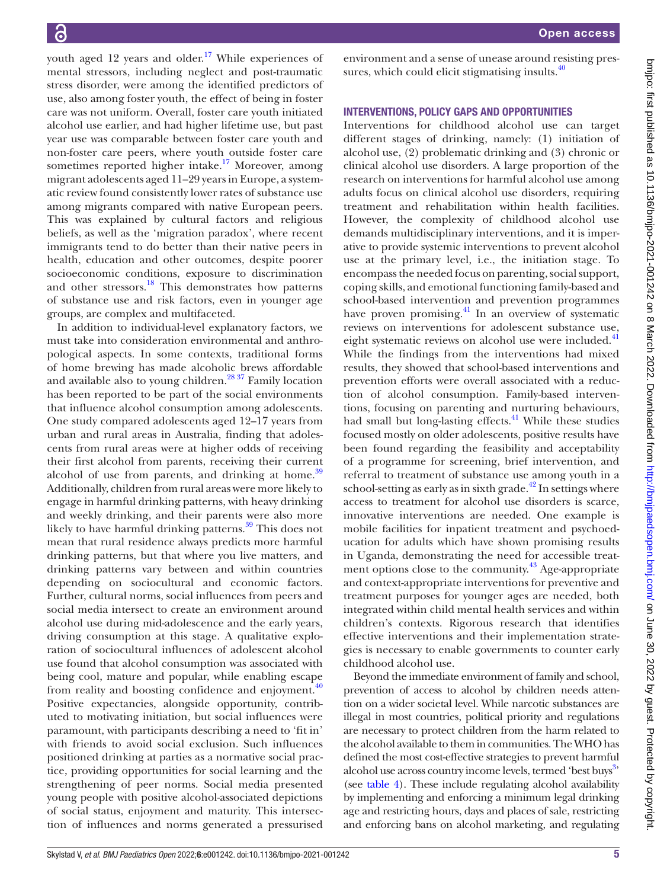youth aged 12 years and older.<sup>[17](#page-6-14)</sup> While experiences of mental stressors, including neglect and post-traumatic stress disorder, were among the identified predictors of use, also among foster youth, the effect of being in foster care was not uniform. Overall, foster care youth initiated alcohol use earlier, and had higher lifetime use, but past year use was comparable between foster care youth and non-foster care peers, where youth outside foster care sometimes reported higher intake.<sup>17</sup> Moreover, among migrant adolescents aged 11–29 years in Europe, a systematic review found consistently lower rates of substance use among migrants compared with native European peers. This was explained by cultural factors and religious beliefs, as well as the 'migration paradox', where recent immigrants tend to do better than their native peers in health, education and other outcomes, despite poorer socioeconomic conditions, exposure to discrimination and other stressors.<sup>18</sup> This demonstrates how patterns of substance use and risk factors, even in younger age groups, are complex and multifaceted.

In addition to individual-level explanatory factors, we must take into consideration environmental and anthropological aspects. In some contexts, traditional forms of home brewing has made alcoholic brews affordable and available also to young children.<sup>28 37</sup> Family location has been reported to be part of the social environments that influence alcohol consumption among adolescents. One study compared adolescents aged 12–17 years from urban and rural areas in Australia, finding that adolescents from rural areas were at higher odds of receiving their first alcohol from parents, receiving their current alcohol of use from parents, and drinking at home.<sup>39</sup> Additionally, children from rural areas were more likely to engage in harmful drinking patterns, with heavy drinking and weekly drinking, and their parents were also more likely to have harmful drinking patterns.<sup>[39](#page-6-36)</sup> This does not mean that rural residence always predicts more harmful drinking patterns, but that where you live matters, and drinking patterns vary between and within countries depending on sociocultural and economic factors. Further, cultural norms, social influences from peers and social media intersect to create an environment around alcohol use during mid-adolescence and the early years, driving consumption at this stage. A qualitative exploration of sociocultural influences of adolescent alcohol use found that alcohol consumption was associated with being cool, mature and popular, while enabling escape from reality and boosting confidence and enjoyment. $40$ Positive expectancies, alongside opportunity, contributed to motivating initiation, but social influences were paramount, with participants describing a need to 'fit in' with friends to avoid social exclusion. Such influences positioned drinking at parties as a normative social practice, providing opportunities for social learning and the strengthening of peer norms. Social media presented young people with positive alcohol-associated depictions of social status, enjoyment and maturity. This intersection of influences and norms generated a pressurised

environment and a sense of unease around resisting pressures, which could elicit stigmatising insults. $40$ 

#### INTERVENTIONS, POLICY GAPS AND OPPORTUNITIES

Interventions for childhood alcohol use can target different stages of drinking, namely: (1) initiation of alcohol use, (2) problematic drinking and (3) chronic or clinical alcohol use disorders. A large proportion of the research on interventions for harmful alcohol use among adults focus on clinical alcohol use disorders, requiring treatment and rehabilitation within health facilities. However, the complexity of childhood alcohol use demands multidisciplinary interventions, and it is imperative to provide systemic interventions to prevent alcohol use at the primary level, i.e., the initiation stage. To encompass the needed focus on parenting, social support, coping skills, and emotional functioning family-based and school-based intervention and prevention programmes have proven promising.<sup>[41](#page-6-38)</sup> In an overview of systematic reviews on interventions for adolescent substance use, eight systematic reviews on alcohol use were included.<sup>[41](#page-6-38)</sup> While the findings from the interventions had mixed results, they showed that school-based interventions and prevention efforts were overall associated with a reduction of alcohol consumption. Family-based interventions, focusing on parenting and nurturing behaviours, had small but long-lasting effects.<sup>41</sup> While these studies focused mostly on older adolescents, positive results have been found regarding the feasibility and acceptability of a programme for screening, brief intervention, and referral to treatment of substance use among youth in a school-setting as early as in sixth grade.<sup> $42$ </sup> In settings where access to treatment for alcohol use disorders is scarce, innovative interventions are needed. One example is mobile facilities for inpatient treatment and psychoeducation for adults which have shown promising results in Uganda, demonstrating the need for accessible treatment options close to the community.<sup>43</sup> Age-appropriate and context-appropriate interventions for preventive and treatment purposes for younger ages are needed, both integrated within child mental health services and within children's contexts. Rigorous research that identifies effective interventions and their implementation strategies is necessary to enable governments to counter early childhood alcohol use.

Beyond the immediate environment of family and school, prevention of access to alcohol by children needs attention on a wider societal level. While narcotic substances are illegal in most countries, political priority and regulations are necessary to protect children from the harm related to the alcohol available to them in communities. The WHO has defined the most cost-effective strategies to prevent harmful alcohol use across country income levels, termed 'best buys<sup>3,</sup> (see [table](#page-5-0) 4). These include regulating alcohol availability by implementing and enforcing a minimum legal drinking age and restricting hours, days and places of sale, restricting and enforcing bans on alcohol marketing, and regulating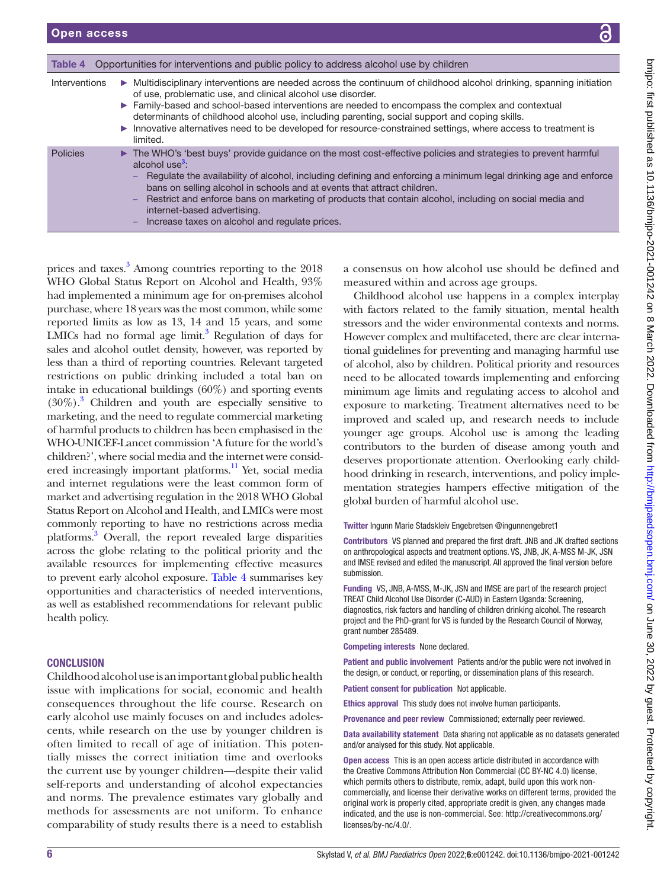<span id="page-5-0"></span>

| Table 4       | Opportunities for interventions and public policy to address alcohol use by children                                                                                                                                                                                                                                                                                                                                                                                                                                                 |
|---------------|--------------------------------------------------------------------------------------------------------------------------------------------------------------------------------------------------------------------------------------------------------------------------------------------------------------------------------------------------------------------------------------------------------------------------------------------------------------------------------------------------------------------------------------|
| Interventions | • Multidisciplinary interventions are needed across the continuum of childhood alcohol drinking, spanning initiation<br>of use, problematic use, and clinical alcohol use disorder.<br>Family-based and school-based interventions are needed to encompass the complex and contextual<br>determinants of childhood alcohol use, including parenting, social support and coping skills.<br>Innovative alternatives need to be developed for resource-constrained settings, where access to treatment is<br>limited.                   |
| Policies      | The WHO's 'best buys' provide guidance on the most cost-effective policies and strategies to prevent harmful<br>alcohol use $3$ :<br>Regulate the availability of alcohol, including defining and enforcing a minimum legal drinking age and enforce<br>bans on selling alcohol in schools and at events that attract children.<br>Restrict and enforce bans on marketing of products that contain alcohol, including on social media and<br>-<br>internet-based advertising.<br>Increase taxes on alcohol and regulate prices.<br>- |

prices and taxes.<sup>[3](#page-6-2)</sup> Among countries reporting to the 2018 WHO Global Status Report on Alcohol and Health, 93% had implemented a minimum age for on-premises alcohol purchase, where 18 years was the most common, while some reported limits as low as 13, 14 and 15 years, and some LMICs had no formal age  $\text{limit}^3$  Regulation of days for sales and alcohol outlet density, however, was reported by less than a third of reporting countries. Relevant targeted restrictions on public drinking included a total ban on intake in educational buildings (60%) and sporting events (30%)[.3](#page-6-2) Children and youth are especially sensitive to marketing, and the need to regulate commercial marketing of harmful products to children has been emphasised in the WHO-UNICEF-Lancet commission 'A future for the world's children?', where social media and the internet were considered increasingly important platforms.<sup>11</sup> Yet, social media and internet regulations were the least common form of market and advertising regulation in the 2018 WHO Global Status Report on Alcohol and Health, and LMICs were most commonly reporting to have no restrictions across media platforms.<sup>3</sup> Overall, the report revealed large disparities across the globe relating to the political priority and the available resources for implementing effective measures to prevent early alcohol exposure. [Table](#page-5-0) 4 summarises key opportunities and characteristics of needed interventions, as well as established recommendations for relevant public health policy.

#### **CONCLUSION**

Childhood alcohol use is an important global public health issue with implications for social, economic and health consequences throughout the life course. Research on early alcohol use mainly focuses on and includes adolescents, while research on the use by younger children is often limited to recall of age of initiation. This potentially misses the correct initiation time and overlooks the current use by younger children—despite their valid self-reports and understanding of alcohol expectancies and norms. The prevalence estimates vary globally and methods for assessments are not uniform. To enhance comparability of study results there is a need to establish

a consensus on how alcohol use should be defined and measured within and across age groups.

Childhood alcohol use happens in a complex interplay with factors related to the family situation, mental health stressors and the wider environmental contexts and norms. However complex and multifaceted, there are clear international guidelines for preventing and managing harmful use of alcohol, also by children. Political priority and resources need to be allocated towards implementing and enforcing minimum age limits and regulating access to alcohol and exposure to marketing. Treatment alternatives need to be improved and scaled up, and research needs to include younger age groups. Alcohol use is among the leading contributors to the burden of disease among youth and deserves proportionate attention. Overlooking early childhood drinking in research, interventions, and policy implementation strategies hampers effective mitigation of the global burden of harmful alcohol use.

Twitter Ingunn Marie Stadskleiv Engebretsen [@ingunnengebret1](https://twitter.com/ingunnengebret1)

Contributors VS planned and prepared the first draft. JNB and JK drafted sections on anthropological aspects and treatment options. VS, JNB, JK, A-MSS M-JK, JSN and IMSE revised and edited the manuscript. All approved the final version before submission.

Funding VS, JNB, A-MSS, M-JK, JSN and IMSE are part of the research project TREAT Child Alcohol Use Disorder (C-AUD) in Eastern Uganda: Screening, diagnostics, risk factors and handling of children drinking alcohol. The research project and the PhD-grant for VS is funded by the Research Council of Norway, grant number 285489.

Competing interests None declared.

Patient and public involvement Patients and/or the public were not involved in the design, or conduct, or reporting, or dissemination plans of this research.

Patient consent for publication Not applicable.

Ethics approval This study does not involve human participants.

Provenance and peer review Commissioned; externally peer reviewed.

Data availability statement Data sharing not applicable as no datasets generated and/or analysed for this study. Not applicable.

Open access This is an open access article distributed in accordance with the Creative Commons Attribution Non Commercial (CC BY-NC 4.0) license, which permits others to distribute, remix, adapt, build upon this work noncommercially, and license their derivative works on different terms, provided the original work is properly cited, appropriate credit is given, any changes made indicated, and the use is non-commercial. See: [http://creativecommons.org/](http://creativecommons.org/licenses/by-nc/4.0/) [licenses/by-nc/4.0/.](http://creativecommons.org/licenses/by-nc/4.0/)